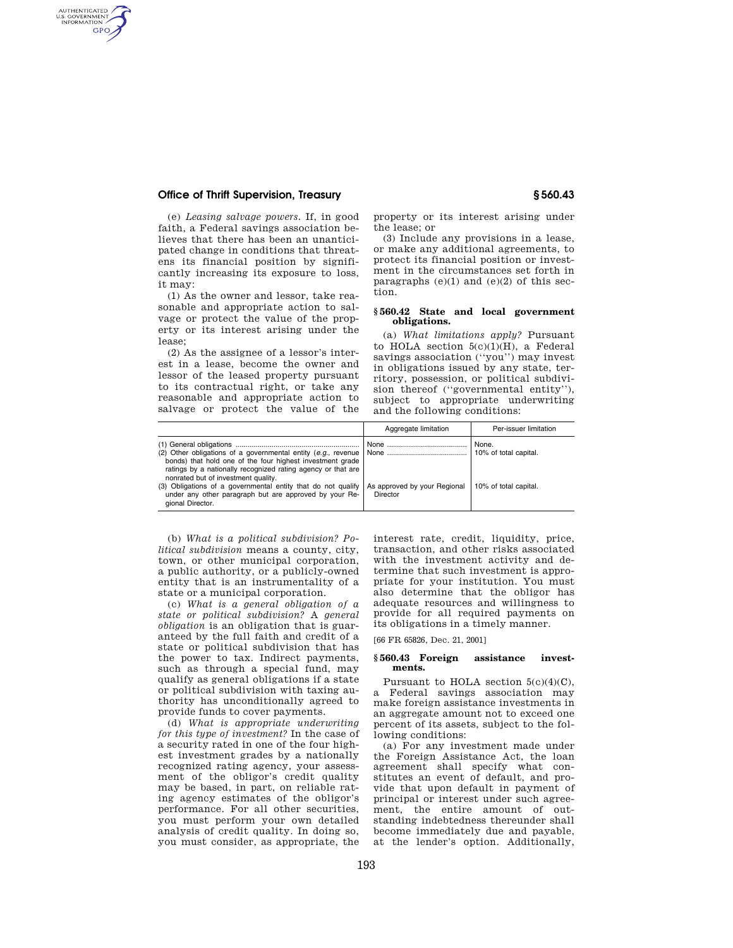# **Office of Thrift Supervision, Treasury § 560.43**

AUTHENTICATED<br>U.S. GOVERNMENT<br>INFORMATION GPO

> (e) *Leasing salvage powers.* If, in good faith, a Federal savings association believes that there has been an unanticipated change in conditions that threatens its financial position by significantly increasing its exposure to loss, it may:

> (1) As the owner and lessor, take reasonable and appropriate action to salvage or protect the value of the property or its interest arising under the lease;

> (2) As the assignee of a lessor's interest in a lease, become the owner and lessor of the leased property pursuant to its contractual right, or take any reasonable and appropriate action to salvage or protect the value of the

property or its interest arising under the lease; or

(3) Include any provisions in a lease, or make any additional agreements, to protect its financial position or investment in the circumstances set forth in paragraphs  $(e)(1)$  and  $(e)(2)$  of this section.

### **§ 560.42 State and local government obligations.**

(a) *What limitations apply?* Pursuant to HOLA section  $5(c)(1)(H)$ , a Federal savings association (''you'') may invest in obligations issued by any state, territory, possession, or political subdivision thereof (''governmental entity''), subject to appropriate underwriting and the following conditions:

|                                                                                                                                                                                                                                   | Aggregate limitation                     | Per-issuer limitation          |
|-----------------------------------------------------------------------------------------------------------------------------------------------------------------------------------------------------------------------------------|------------------------------------------|--------------------------------|
| (2) Other obligations of a governmental entity (e.g., revenue<br>bonds) that hold one of the four highest investment grade<br>ratings by a nationally recognized rating agency or that are<br>nonrated but of investment quality. |                                          | None.<br>10% of total capital. |
| (3) Obligations of a governmental entity that do not qualify<br>under any other paragraph but are approved by your Re-<br>gional Director.                                                                                        | As approved by your Regional<br>Director | 10% of total capital.          |

(b) *What is a political subdivision? Political subdivision* means a county, city, town, or other municipal corporation, a public authority, or a publicly-owned entity that is an instrumentality of a state or a municipal corporation.

(c) *What is a general obligation of a state or political subdivision?* A *general obligation* is an obligation that is guaranteed by the full faith and credit of a state or political subdivision that has the power to tax. Indirect payments, such as through a special fund, may qualify as general obligations if a state or political subdivision with taxing authority has unconditionally agreed to provide funds to cover payments.

(d) *What is appropriate underwriting for this type of investment?* In the case of a security rated in one of the four highest investment grades by a nationally recognized rating agency, your assessment of the obligor's credit quality may be based, in part, on reliable rating agency estimates of the obligor's performance. For all other securities, you must perform your own detailed analysis of credit quality. In doing so, you must consider, as appropriate, the

interest rate, credit, liquidity, price, transaction, and other risks associated with the investment activity and determine that such investment is appropriate for your institution. You must also determine that the obligor has adequate resources and willingness to provide for all required payments on its obligations in a timely manner.

[66 FR 65826, Dec. 21, 2001]

### **§ 560.43 Foreign assistance investments.**

Pursuant to HOLA section  $5(c)(4)(C)$ , a Federal savings association may make foreign assistance investments in an aggregate amount not to exceed one percent of its assets, subject to the following conditions:

(a) For any investment made under the Foreign Assistance Act, the loan agreement shall specify what constitutes an event of default, and provide that upon default in payment of principal or interest under such agreement, the entire amount of outstanding indebtedness thereunder shall become immediately due and payable, at the lender's option. Additionally,